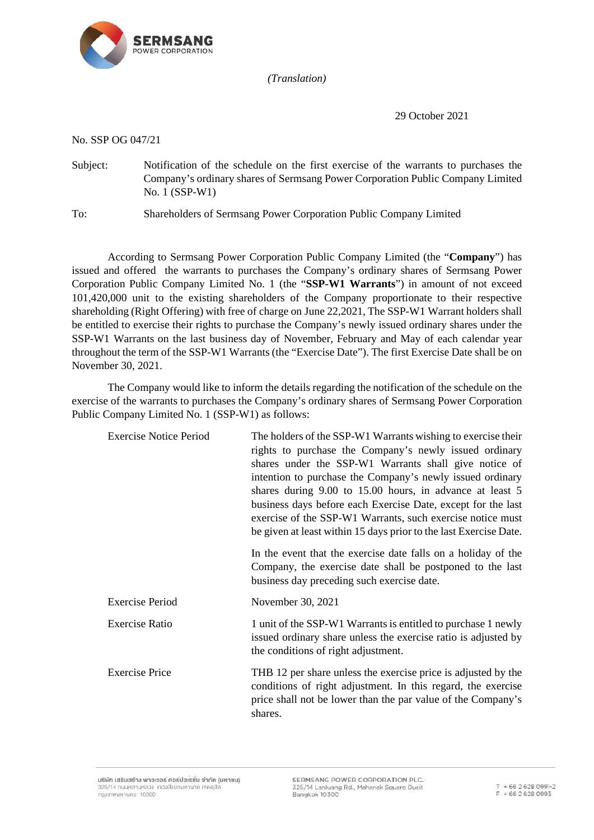

*(Translation)*

29 October 2021

No. SSP OG 047/21

Subject: Notification of the schedule on the first exercise of the warrants to purchases the Company's ordinary shares of Sermsang Power Corporation Public Company Limited No. 1 (SSP-W1)

To: Shareholders of Sermsang Power Corporation Public Company Limited

According to Sermsang Power Corporation Public Company Limited (the "**Company**") has issued and offered the warrants to purchases the Company's ordinary shares of Sermsang Power Corporation Public Company Limited No. 1 (the "**SSP-W1 Warrants**") in amount of not exceed 101,420,000 unit to the existing shareholders of the Company proportionate to their respective shareholding (Right Offering) with free of charge on June 22,2021, The SSP-W1 Warrant holders shall be entitled to exercise their rights to purchase the Company's newly issued ordinary shares under the SSP-W1 Warrants on the last business day of November, February and May of each calendar year throughout the term of the SSP-W1 Warrants (the "Exercise Date"). The first Exercise Date shall be on November 30, 2021.

The Company would like to inform the details regarding the notification of the schedule on the exercise of the warrants to purchases the Company's ordinary shares of Sermsang Power Corporation Public Company Limited No. 1 (SSP-W1) as follows:

| <b>Exercise Notice Period</b> | The holders of the SSP-W1 Warrants wishing to exercise their<br>rights to purchase the Company's newly issued ordinary<br>shares under the SSP-W1 Warrants shall give notice of<br>intention to purchase the Company's newly issued ordinary<br>shares during 9.00 to 15.00 hours, in advance at least 5<br>business days before each Exercise Date, except for the last<br>exercise of the SSP-W1 Warrants, such exercise notice must<br>be given at least within 15 days prior to the last Exercise Date.<br>In the event that the exercise date falls on a holiday of the<br>Company, the exercise date shall be postponed to the last<br>business day preceding such exercise date. |
|-------------------------------|-----------------------------------------------------------------------------------------------------------------------------------------------------------------------------------------------------------------------------------------------------------------------------------------------------------------------------------------------------------------------------------------------------------------------------------------------------------------------------------------------------------------------------------------------------------------------------------------------------------------------------------------------------------------------------------------|
| <b>Exercise Period</b>        | November 30, 2021                                                                                                                                                                                                                                                                                                                                                                                                                                                                                                                                                                                                                                                                       |
| <b>Exercise Ratio</b>         | 1 unit of the SSP-W1 Warrants is entitled to purchase 1 newly<br>issued ordinary share unless the exercise ratio is adjusted by<br>the conditions of right adjustment.                                                                                                                                                                                                                                                                                                                                                                                                                                                                                                                  |
| <b>Exercise Price</b>         | THB 12 per share unless the exercise price is adjusted by the<br>conditions of right adjustment. In this regard, the exercise<br>price shall not be lower than the par value of the Company's<br>shares.                                                                                                                                                                                                                                                                                                                                                                                                                                                                                |